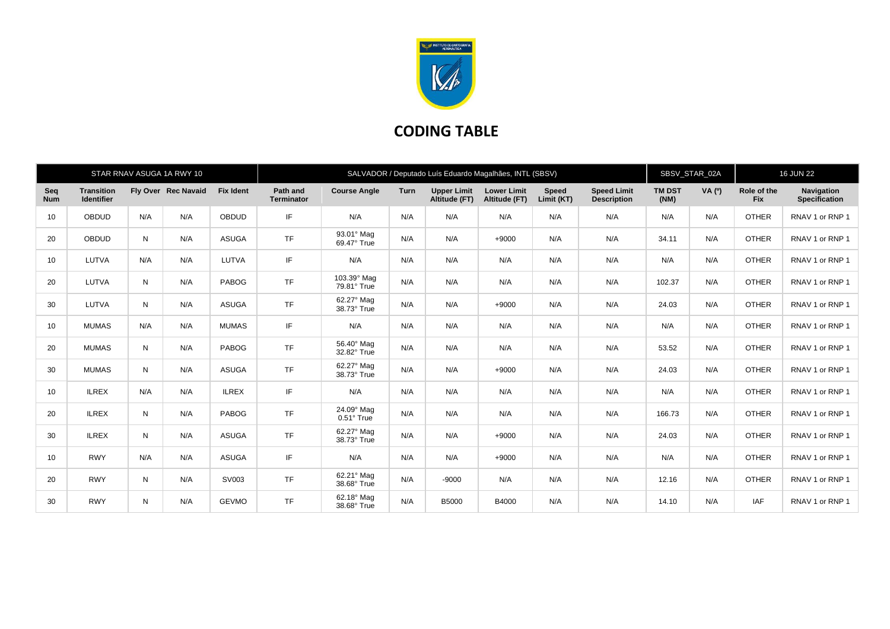

## **CODING TABLE**

|                   |                                        |              | STAR RNAV ASUGA 1A RWY 10 |                  | SALVADOR / Deputado Luís Eduardo Magalhães, INTL (SBSV) |                                 |             |                                     |                                     |                            |                                          |                       | SBSV STAR 02A |                           | <b>16 JUN 22</b>                   |  |
|-------------------|----------------------------------------|--------------|---------------------------|------------------|---------------------------------------------------------|---------------------------------|-------------|-------------------------------------|-------------------------------------|----------------------------|------------------------------------------|-----------------------|---------------|---------------------------|------------------------------------|--|
| Seq<br><b>Num</b> | <b>Transition</b><br><b>Identifier</b> |              | Fly Over Rec Navaid       | <b>Fix Ident</b> | Path and<br><b>Terminator</b>                           | <b>Course Angle</b>             | <b>Turn</b> | <b>Upper Limit</b><br>Altitude (FT) | <b>Lower Limit</b><br>Altitude (FT) | <b>Speed</b><br>Limit (KT) | <b>Speed Limit</b><br><b>Description</b> | <b>TM DST</b><br>(NM) | <b>VA</b> (0) | Role of the<br><b>Fix</b> | <b>Navigation</b><br>Specification |  |
| 10                | <b>OBDUD</b>                           | N/A          | N/A                       | <b>OBDUD</b>     | IF                                                      | N/A                             | N/A         | N/A                                 | N/A                                 | N/A                        | N/A                                      | N/A                   | N/A           | <b>OTHER</b>              | RNAV 1 or RNP 1                    |  |
| 20                | <b>OBDUD</b>                           | N            | N/A                       | <b>ASUGA</b>     | <b>TF</b>                                               | 93.01° Mag<br>69.47° True       | N/A         | N/A                                 | $+9000$                             | N/A                        | N/A                                      | 34.11                 | N/A           | <b>OTHER</b>              | RNAV 1 or RNP 1                    |  |
| 10                | LUTVA                                  | N/A          | N/A                       | LUTVA            | IF                                                      | N/A                             | N/A         | N/A                                 | N/A                                 | N/A                        | N/A                                      | N/A                   | N/A           | <b>OTHER</b>              | RNAV 1 or RNP 1                    |  |
| 20                | LUTVA                                  | N            | N/A                       | PABOG            | <b>TF</b>                                               | 103.39° Mag<br>79.81° True      | N/A         | N/A                                 | N/A                                 | N/A                        | N/A                                      | 102.37                | N/A           | <b>OTHER</b>              | RNAV 1 or RNP 1                    |  |
| 30                | LUTVA                                  | $\mathsf{N}$ | N/A                       | <b>ASUGA</b>     | <b>TF</b>                                               | 62.27° Mag<br>38.73° True       | N/A         | N/A                                 | $+9000$                             | N/A                        | N/A                                      | 24.03                 | N/A           | <b>OTHER</b>              | RNAV 1 or RNP 1                    |  |
| 10                | <b>MUMAS</b>                           | N/A          | N/A                       | <b>MUMAS</b>     | IF                                                      | N/A                             | N/A         | N/A                                 | N/A                                 | N/A                        | N/A                                      | N/A                   | N/A           | <b>OTHER</b>              | RNAV 1 or RNP 1                    |  |
| 20                | <b>MUMAS</b>                           | N            | N/A                       | PABOG            | <b>TF</b>                                               | 56.40° Mag<br>32.82° True       | N/A         | N/A                                 | N/A                                 | N/A                        | N/A                                      | 53.52                 | N/A           | <b>OTHER</b>              | RNAV 1 or RNP 1                    |  |
| 30                | <b>MUMAS</b>                           | $\mathsf{N}$ | N/A                       | <b>ASUGA</b>     | <b>TF</b>                                               | 62.27° Mag<br>38.73° True       | N/A         | N/A                                 | $+9000$                             | N/A                        | N/A                                      | 24.03                 | N/A           | <b>OTHER</b>              | RNAV 1 or RNP 1                    |  |
| 10                | <b>ILREX</b>                           | N/A          | N/A                       | <b>ILREX</b>     | IF.                                                     | N/A                             | N/A         | N/A                                 | N/A                                 | N/A                        | N/A                                      | N/A                   | N/A           | <b>OTHER</b>              | RNAV 1 or RNP 1                    |  |
| 20                | <b>ILREX</b>                           | N            | N/A                       | PABOG            | <b>TF</b>                                               | 24.09° Mag<br>$0.51^\circ$ True | N/A         | N/A                                 | N/A                                 | N/A                        | N/A                                      | 166.73                | N/A           | <b>OTHER</b>              | RNAV 1 or RNP 1                    |  |
| 30                | <b>ILREX</b>                           | N            | N/A                       | <b>ASUGA</b>     | <b>TF</b>                                               | 62.27° Mag<br>38.73° True       | N/A         | N/A                                 | $+9000$                             | N/A                        | N/A                                      | 24.03                 | N/A           | <b>OTHER</b>              | RNAV 1 or RNP 1                    |  |
| 10                | <b>RWY</b>                             | N/A          | N/A                       | <b>ASUGA</b>     | IF                                                      | N/A                             | N/A         | N/A                                 | $+9000$                             | N/A                        | N/A                                      | N/A                   | N/A           | <b>OTHER</b>              | RNAV 1 or RNP 1                    |  |
| 20                | <b>RWY</b>                             | N            | N/A                       | SV003            | <b>TF</b>                                               | 62.21° Mag<br>38.68° True       | N/A         | $-9000$                             | N/A                                 | N/A                        | N/A                                      | 12.16                 | N/A           | <b>OTHER</b>              | RNAV 1 or RNP 1                    |  |
| 30                | <b>RWY</b>                             | N            | N/A                       | <b>GEVMO</b>     | <b>TF</b>                                               | 62.18° Mag<br>38.68° True       | N/A         | <b>B5000</b>                        | B4000                               | N/A                        | N/A                                      | 14.10                 | N/A           | IAF                       | RNAV 1 or RNP 1                    |  |